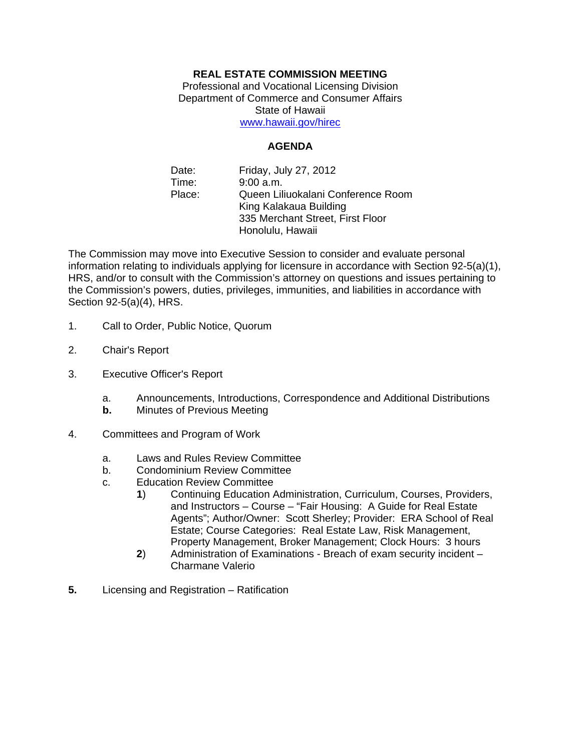## **REAL ESTATE COMMISSION MEETING**

Professional and Vocational Licensing Division Department of Commerce and Consumer Affairs State of Hawaii www.hawaii.gov/hirec

## **AGENDA**

Date: Friday, July 27, 2012 Time: 9:00 a.m. Place: Queen Liliuokalani Conference Room King Kalakaua Building 335 Merchant Street, First Floor Honolulu, Hawaii

The Commission may move into Executive Session to consider and evaluate personal information relating to individuals applying for licensure in accordance with Section 92-5(a)(1), HRS, and/or to consult with the Commission's attorney on questions and issues pertaining to the Commission's powers, duties, privileges, immunities, and liabilities in accordance with Section 92-5(a)(4), HRS.

- 1. Call to Order, Public Notice, Quorum
- 2. Chair's Report
- 3. Executive Officer's Report
	- a. Announcements, Introductions, Correspondence and Additional Distributions
	- **b.** Minutes of Previous Meeting
- 4. Committees and Program of Work
	- a. Laws and Rules Review Committee
	- b. Condominium Review Committee
	- c. Education Review Committee
		- **1**) Continuing Education Administration, Curriculum, Courses, Providers, and Instructors – Course – "Fair Housing: A Guide for Real Estate Agents"; Author/Owner: Scott Sherley; Provider: ERA School of Real Estate; Course Categories: Real Estate Law, Risk Management, Property Management, Broker Management; Clock Hours: 3 hours
		- **2**) Administration of Examinations Breach of exam security incident Charmane Valerio
- **5.** Licensing and Registration Ratification